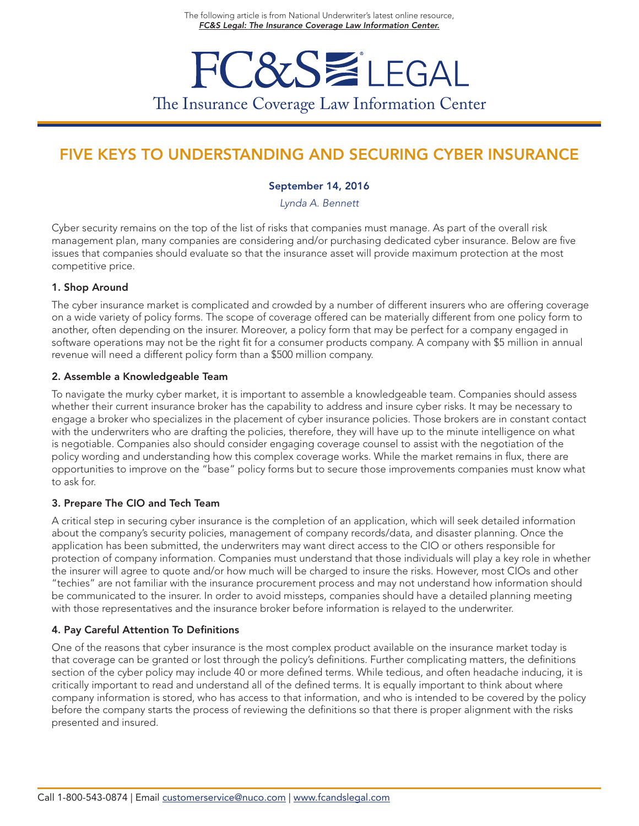# **FC&SWLEGAL** The Insurance Coverage Law Information Center

# FIVE KEYS TO UNDERSTANDING AND SECURING CYBER INSURANCE

#### September 14, 2016

*Lynda A. Bennett*

Cyber security remains on the top of the list of risks that companies must manage. As part of the overall risk management plan, many companies are considering and/or purchasing dedicated cyber insurance. Below are five issues that companies should evaluate so that the insurance asset will provide maximum protection at the most competitive price.

#### 1. Shop Around

The cyber insurance market is complicated and crowded by a number of different insurers who are offering coverage on a wide variety of policy forms. The scope of coverage offered can be materially different from one policy form to another, often depending on the insurer. Moreover, a policy form that may be perfect for a company engaged in software operations may not be the right fit for a consumer products company. A company with \$5 million in annual revenue will need a different policy form than a \$500 million company.

#### 2. Assemble a Knowledgeable Team

To navigate the murky cyber market, it is important to assemble a knowledgeable team. Companies should assess whether their current insurance broker has the capability to address and insure cyber risks. It may be necessary to engage a broker who specializes in the placement of cyber insurance policies. Those brokers are in constant contact with the underwriters who are drafting the policies, therefore, they will have up to the minute intelligence on what is negotiable. Companies also should consider engaging coverage counsel to assist with the negotiation of the policy wording and understanding how this complex coverage works. While the market remains in flux, there are opportunities to improve on the "base" policy forms but to secure those improvements companies must know what to ask for.

#### 3. Prepare The CIO and Tech Team

A critical step in securing cyber insurance is the completion of an application, which will seek detailed information about the company's security policies, management of company records/data, and disaster planning. Once the application has been submitted, the underwriters may want direct access to the CIO or others responsible for protection of company information. Companies must understand that those individuals will play a key role in whether the insurer will agree to quote and/or how much will be charged to insure the risks. However, most CIOs and other "techies" are not familiar with the insurance procurement process and may not understand how information should be communicated to the insurer. In order to avoid missteps, companies should have a detailed planning meeting with those representatives and the insurance broker before information is relayed to the underwriter.

### 4. Pay Careful Attention To Definitions

One of the reasons that cyber insurance is the most complex product available on the insurance market today is that coverage can be granted or lost through the policy's definitions. Further complicating matters, the definitions section of the cyber policy may include 40 or more defined terms. While tedious, and often headache inducing, it is critically important to read and understand all of the defined terms. It is equally important to think about where company information is stored, who has access to that information, and who is intended to be covered by the policy before the company starts the process of reviewing the definitions so that there is proper alignment with the risks presented and insured.